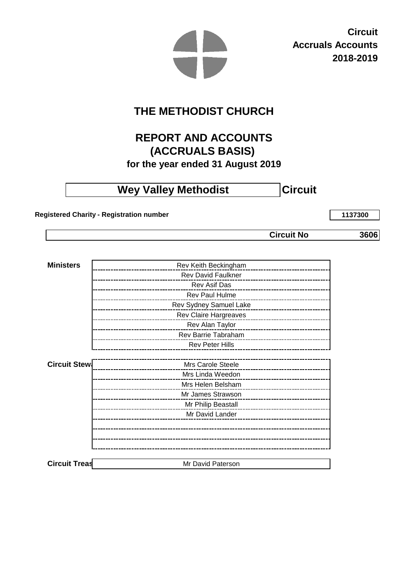**Circuit Accruals Accounts 2018-2019**

# **THE METHODIST CHURCH**

# **REPORT AND ACCOUNTS (ACCRUALS BASIS)**

**for the year ended 31 August 2019**

# **Wey Valley Methodist Circuit**

 **Registered Charity - Registration number**

**1137300**

**Circuit No** 

**3606**

| <b>Ministers</b>     | Rev Keith Beckingham                                           |
|----------------------|----------------------------------------------------------------|
|                      | <b>Rev David Faulkner</b>                                      |
|                      | Rev Asif Das<br>______________________                         |
|                      | Rev Paul Hulme<br>_________________________                    |
|                      | Rev Sydney Samuel Lake<br>____ <b>___________________</b> ____ |
|                      | Rev Claire Hargreaves<br>___________________________           |
|                      | Rev Alan Taylor                                                |
|                      | Rev Barrie Tabraham<br>____________________                    |
|                      | <b>Rev Peter Hills</b>                                         |
|                      |                                                                |
| <b>Circuit Stew:</b> | Mrs Carole Steele<br>_____________________                     |
|                      | Mrs Linda Weedon<br>___________________                        |
|                      | Mrs Helen Belsham                                              |
|                      | Mr James Strawson                                              |
|                      | Mr Philip Beastall<br>_______________________                  |
|                      | Mr David Lander                                                |
|                      |                                                                |
|                      |                                                                |
|                      |                                                                |
|                      |                                                                |
| <b>Circuit Treas</b> | Mr David Paterson                                              |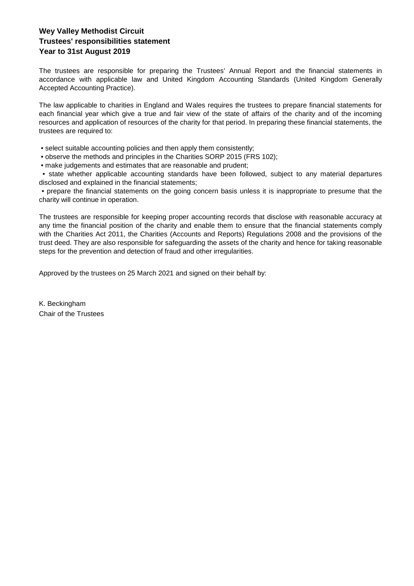# **Wey Valley Methodist Circuit Year to 31st August 2019 Trustees' responsibilities statement**

The trustees are responsible for preparing the Trustees' Annual Report and the financial statements in accordance with applicable law and United Kingdom Accounting Standards (United Kingdom Generally Accepted Accounting Practice).

The law applicable to charities in England and Wales requires the trustees to prepare financial statements for each financial year which give a true and fair view of the state of affairs of the charity and of the incoming resources and application of resources of the charity for that period. In preparing these financial statements, the trustees are required to:

• select suitable accounting policies and then apply them consistently;

- observe the methods and principles in the Charities SORP 2015 (FRS 102);
- make judgements and estimates that are reasonable and prudent;

• state whether applicable accounting standards have been followed, subject to any material departures disclosed and explained in the financial statements;

• prepare the financial statements on the going concern basis unless it is inappropriate to presume that the charity will continue in operation.

The trustees are responsible for keeping proper accounting records that disclose with reasonable accuracy at any time the financial position of the charity and enable them to ensure that the financial statements comply with the Charities Act 2011, the Charities (Accounts and Reports) Regulations 2008 and the provisions of the trust deed. They are also responsible for safeguarding the assets of the charity and hence for taking reasonable steps for the prevention and detection of fraud and other irregularities.

Approved by the trustees on 25 March 2021 and signed on their behalf by:

Chair of the Trustees K. Beckingham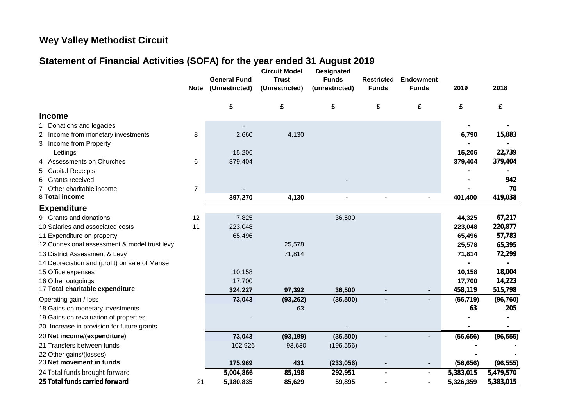# **Wey Valley Methodist Circuit**

# **Statement of Financial Activities (SOFA) for the year ended 31 August 2019**

|                                               | <b>Note</b>    | <b>General Fund</b><br>(Unrestricted) | <b>Circuit Model</b><br><b>Trust</b><br>(Unrestricted) | <b>Designated</b><br><b>Funds</b><br>(unrestricted) | <b>Restricted</b><br><b>Funds</b> | <b>Endowment</b><br><b>Funds</b> | 2019      | 2018      |
|-----------------------------------------------|----------------|---------------------------------------|--------------------------------------------------------|-----------------------------------------------------|-----------------------------------|----------------------------------|-----------|-----------|
|                                               |                | £                                     | £                                                      | £                                                   | £                                 | £                                | £         | £         |
| <b>Income</b>                                 |                |                                       |                                                        |                                                     |                                   |                                  |           |           |
| Donations and legacies<br>1                   |                |                                       |                                                        |                                                     |                                   |                                  |           |           |
| 2 Income from monetary investments            | 8              | 2,660                                 | 4,130                                                  |                                                     |                                   |                                  | 6,790     | 15,883    |
| 3 Income from Property                        |                |                                       |                                                        |                                                     |                                   |                                  |           |           |
| Lettings                                      |                | 15,206                                |                                                        |                                                     |                                   |                                  | 15,206    | 22,739    |
| <b>Assessments on Churches</b><br>4           | 6              | 379,404                               |                                                        |                                                     |                                   |                                  | 379,404   | 379,404   |
| <b>Capital Receipts</b><br>5                  |                |                                       |                                                        |                                                     |                                   |                                  |           |           |
| <b>Grants received</b><br>6                   |                |                                       |                                                        |                                                     |                                   |                                  |           | 942       |
| Other charitable income                       | $\overline{7}$ |                                       |                                                        |                                                     |                                   |                                  |           | 70        |
| 8 Total income                                |                | 397,270                               | 4,130                                                  |                                                     |                                   |                                  | 401,400   | 419,038   |
| <b>Expenditure</b>                            |                |                                       |                                                        |                                                     |                                   |                                  |           |           |
| 9 Grants and donations                        | 12             | 7,825                                 |                                                        | 36,500                                              |                                   |                                  | 44,325    | 67,217    |
| 10 Salaries and associated costs              | 11             | 223,048                               |                                                        |                                                     |                                   |                                  | 223,048   | 220,877   |
| 11 Expenditure on property                    |                | 65,496                                |                                                        |                                                     |                                   |                                  | 65,496    | 57,783    |
| 12 Connexional assessment & model trust levy  |                |                                       | 25,578                                                 |                                                     |                                   |                                  | 25,578    | 65,395    |
| 13 District Assessment & Levy                 |                |                                       | 71,814                                                 |                                                     |                                   |                                  | 71,814    | 72,299    |
| 14 Depreciation and (profit) on sale of Manse |                |                                       |                                                        |                                                     |                                   |                                  |           |           |
| 15 Office expenses                            |                | 10,158                                |                                                        |                                                     |                                   |                                  | 10,158    | 18,004    |
| 16 Other outgoings                            |                | 17,700                                |                                                        |                                                     |                                   |                                  | 17,700    | 14,223    |
| 17 Total charitable expenditure               |                | 324,227                               | 97,392                                                 | 36,500                                              |                                   |                                  | 458,119   | 515,798   |
| Operating gain / loss                         |                | 73,043                                | (93, 262)                                              | (36, 500)                                           |                                   |                                  | (56, 719) | (96, 760) |
| 18 Gains on monetary investments              |                |                                       | 63                                                     |                                                     |                                   |                                  | 63        | 205       |
| 19 Gains on revaluation of properties         |                |                                       |                                                        |                                                     |                                   |                                  |           |           |
| 20 Increase in provision for future grants    |                |                                       |                                                        |                                                     |                                   |                                  |           |           |
| 20 Net income/(expenditure)                   |                | 73,043                                | (93, 199)                                              | (36, 500)                                           |                                   |                                  | (56, 656) | (96, 555) |
| 21 Transfers between funds                    |                | 102,926                               | 93,630                                                 | (196, 556)                                          |                                   |                                  |           |           |
| 22 Other gains/(losses)                       |                |                                       |                                                        |                                                     |                                   |                                  |           |           |
| 23 Net movement in funds                      |                | 175,969                               | 431                                                    | (233,056)                                           |                                   | ٠                                | (56, 656) | (96, 555) |
| 24 Total funds brought forward                |                | 5,004,866                             | 85,198                                                 | 292,951                                             |                                   |                                  | 5,383,015 | 5,479,570 |
| 25 Total funds carried forward                | 21             | 5,180,835                             | 85,629                                                 | 59,895                                              |                                   |                                  | 5,326,359 | 5,383,015 |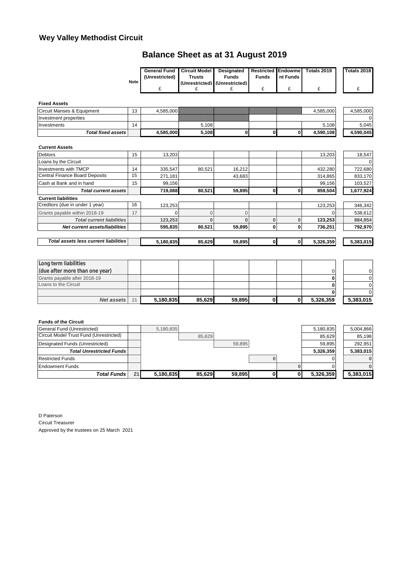# **Wey Valley Methodist Circuit**

# **Balance Sheet as at 31 August 2019**

|             | <b>General Fund</b> | Circuit Model | Designated                    | Restricted Endowme |          | Totals 2019 | Totals 2018 |
|-------------|---------------------|---------------|-------------------------------|--------------------|----------|-------------|-------------|
|             | (Unrestricted)      | Trusts        | Funds                         | <b>Funds</b>       | nt Funds |             |             |
| <b>Note</b> |                     |               | (Unrestricted) (Unrestricted) |                    |          |             |             |
|             |                     |               |                               |                    |          |             |             |

**Fixed Assets** 

| Total fixed assets li      |           | 4.585.000 | 5,108 |                                |  | 4.590.108 | 4.590.045 |
|----------------------------|-----------|-----------|-------|--------------------------------|--|-----------|-----------|
| Investments                | 14        |           | 5,108 |                                |  | 5,108     | 5,045     |
| Investment properties      |           |           |       | ,,,,,,,,,,,,,,,,,,,,,,,,,,,,,, |  |           |           |
| Circuit Manses & Equipment | 12<br>ں ا | 4.585.000 |       |                                |  | 4.585.000 | 4.585.000 |
| <b>FIXED ASSETS</b>        |           |           |       |                                |  |           |           |

### **Current Assets**

| <b>Debtors</b>                        | 15 | 13,203    |        |        |   |              | 13,203    | 18,547    |
|---------------------------------------|----|-----------|--------|--------|---|--------------|-----------|-----------|
| Loans by the Circuit                  |    |           |        |        |   |              |           | $\Omega$  |
| <b>Investments with TMCP</b>          | 14 | 335.547   | 80.521 | 16.212 |   |              | 432,280   | 722,680   |
| <b>Central Finance Board Deposits</b> | 15 | 271.181   |        | 43.683 |   |              | 314.865   | 833,170   |
| Cash at Bank and in hand              | 15 | 99,156    |        |        |   |              | 99,156    | 103,527   |
| <b>Total current assets</b>           |    | 719,088   | 80,521 | 59,895 | 0 | 0            | 859,504   | 1,677,924 |
| <b>Current liabilities</b>            |    |           |        |        |   |              |           |           |
| Creditors (due in under 1 year)       | 16 | 123,253   |        |        |   |              | 123,253   | 346,342   |
| Grants payable within 2018-19         | 17 |           |        |        |   |              |           | 538,612   |
| <b>Total current liabilities</b>      |    | 123,253   |        |        |   | O            | 123,253   | 884,954   |
| Net current assets/liabilities        |    | 595,835   | 80,521 | 59,895 | 0 | 0            | 736,251   | 792,970   |
|                                       |    |           |        |        |   |              |           |           |
| Total assets less current liabilities |    | 5,180,835 | 85,629 | 59,895 | 0 | $\mathbf{0}$ | 5,326,359 | 5,383,015 |
|                                       |    |           |        |        |   |              |           |           |

| Net assets                     | 21 | 5,180,835 | 85.629 | 59.895 |  | 5,326,359 | 5,383,015   |
|--------------------------------|----|-----------|--------|--------|--|-----------|-------------|
|                                |    |           |        |        |  |           |             |
| Loans to the Circuit           |    |           |        |        |  |           |             |
| Grants payable after 2018-19   |    |           |        |        |  |           |             |
| (due after more than one year) |    |           |        |        |  |           | $\mathbf 0$ |
| Long term liabilities          |    |           |        |        |  |           |             |

### **Funds of the Circuit**

| General Fund (Unrestricted)             |    | 5.180.835 |        |        |  | 5,180,835 | 5.004.866 |
|-----------------------------------------|----|-----------|--------|--------|--|-----------|-----------|
| Circuit Model Trust Fund (Unrestricted) |    |           | 85.629 |        |  | 85.629    | 85.198    |
| Designated Funds (Unrestricted)         |    |           |        | 59.895 |  | 59.895    | 292.951   |
| <b>Total Unrestricted Funds</b>         |    |           |        |        |  | 5,326,359 | 5.383.015 |
| <b>Restricted Funds</b>                 |    |           |        |        |  |           |           |
| <b>Endowment Funds</b>                  |    |           |        |        |  |           |           |
| Total Funds                             | 21 | 5,180,835 | 85.629 | 59.895 |  | 5,326,359 | 5,383,015 |

D Paterson Circuit Treasurer Approved by the trustees on 25 March 2021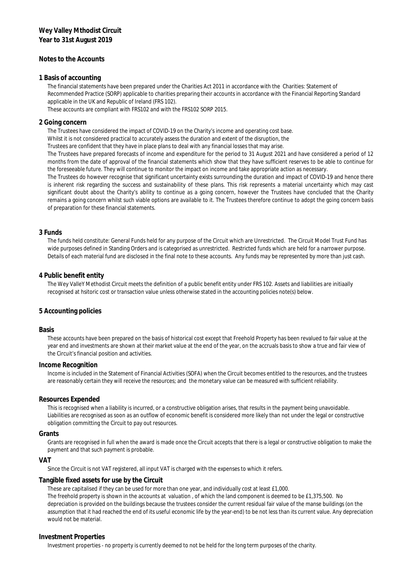### **Notes to the Accounts**

#### **1 Basis of accounting**

The financial statements have been prepared under the Charities Act 2011 in accordance with the Charities: Statement of Recommended Practice (SORP) applicable to charities preparing their accounts in accordance with the Financial Reporting Standard applicable in the UK and Republic of Ireland (FRS 102).

These accounts are compliant with FRS102 and with the FRS102 SORP 2015.

#### **2 Going concern**

The Trustees have considered the impact of COVID-19 on the Charity's income and operating cost base.

Whilst it is not considered practical to accurately assess the duration and extent of the disruption, the

Trustees are confident that they have in place plans to deal with any financial losses that may arise.

The Trustees have prepared forecasts of income and expenditure for the period to 31 August 2021 and have considered a period of 12 months from the date of approval of the financial statements which show that they have sufficient reserves to be able to continue for the foreseeable future. They will continue to monitor the impact on income and take appropriate action as necessary.

The Trustees do however recognise that significant uncertainty exists surrounding the duration and impact of COVID-19 and hence there is inherent risk regarding the success and sustainability of these plans. This risk represents a material uncertainty which may cast significant doubt about the Charity's ability to continue as a going concern, however the Trustees have concluded that the Charity remains a going concern whilst such viable options are available to it. The Trustees therefore continue to adopt the going concern basis of preparation for these financial statements.

#### **3 Funds**

The funds held constitute: General Funds held for any purpose of the Circuit which are Unrestricted. The Circuit Model Trust Fund has wide purposes defined in Standing Orders and is categorised as unrestricted. Restricted funds which are held for a narrower purpose. Details of each material fund are disclosed in the final note to these accounts. Any funds may be represented by more than just cash.

#### **4 Public benefit entity**

The Wey ValleY Methodist Circuit meets the definition of a public benefit entity under FRS 102. Assets and liabilities are initiaally recognised at hsitoric cost or transaction value unless otherwise stated in the accounting policies note(s) below.

#### **5 Accounting policies**

#### **Basis**

These accounts have been prepared on the basis of historical cost except that Freehold Property has been revalued to fair value at the year end and investments are shown at their market value at the end of the year, on the accruals basis to show a true and fair view of the Circuit's financial position and activities.

#### **Income Recognition**

Income is included in the Statement of Financial Activities (SOFA) when the Circuit becomes entitled to the resources, and the trustees are reasonably certain they will receive the resources; and the monetary value can be measured with sufficient reliability.

#### **Resources Expended**

This is recognised when a liability is incurred, or a constructive obligation arises, that results in the payment being unavoidable. Liabilities are recognised as soon as an outflow of economic benefit is considered more likely than not under the legal or constructive obligation committing the Circuit to pay out resources.

#### **Grants**

Grants are recognised in full when the award is made once the Circuit accepts that there is a legal or constructive obligation to make the payment and that such payment is probable.

#### **VAT**

Since the Circuit is not VAT registered, all input VAT is charged with the expenses to which it refers.

#### **Tangible fixed assets for use by the Circuit**

These are capitalised if they can be used for more than one year, and individually cost at least £1,000.

The freehold property is shown in the accounts at valuation , of which the land component is deemed to be £1,375,500. No depreciation is provided on the buildings because the trustees consider the current residual fair value of the manse buildings (on the assumption that it had reached the end of its useful economic life by the year-end) to be not less than its current value. Any depreciation would not be material.

#### **Investment Properties**

Investment properties - no property is currently deemed to not be held for the long term purposes of the charity.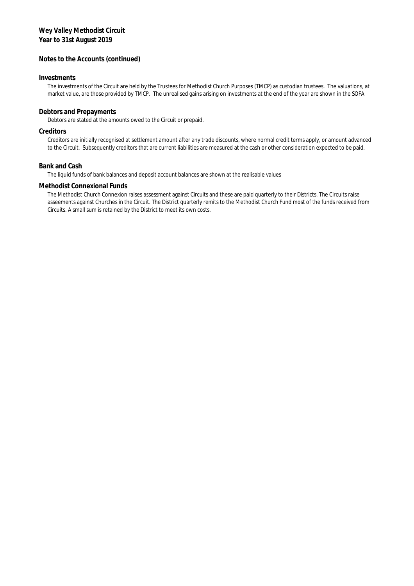### **Notes to the Accounts (continued)**

### **Investments**

The investments of the Circuit are held by the Trustees for Methodist Church Purposes (TMCP) as custodian trustees. The valuations, at market value, are those provided by TMCP. The unrealised gains arising on investments at the end of the year are shown in the SOFA

### **Debtors and Prepayments**

Debtors are stated at the amounts owed to the Circuit or prepaid.

### **Creditors**

Creditors are initially recognised at settlement amount after any trade discounts, where normal credit terms apply, or amount advanced to the Circuit. Subsequently creditors that are current liabilities are measured at the cash or other consideration expected to be paid.

### **Bank and Cash**

The liquid funds of bank balances and deposit account balances are shown at the realisable values

### **Methodist Connexional Funds**

The Methodist Church Connexion raises assessment against Circuits and these are paid quarterly to their Districts. The Circuits raise asseements against Churches in the Circuit. The District quarterly remits to the Methodist Church Fund most of the funds received from Circuits. A small sum is retained by the District to meet its own costs.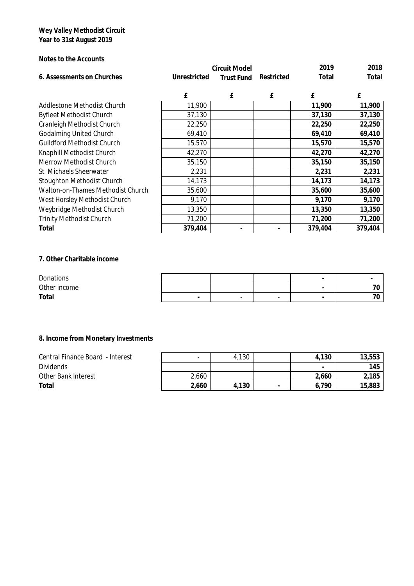**Notes to the Accounts**

|                                          |              | <b>Circuit Model</b> | 2019       | 2018    |         |
|------------------------------------------|--------------|----------------------|------------|---------|---------|
| 6. Assessments on Churches               | Unrestricted | <b>Trust Fund</b>    | Restricted | Total   | Total   |
|                                          |              |                      |            |         |         |
|                                          | £            | £                    | £          | £       | £       |
| Addlestone Methodist Church              | 11,900       |                      |            | 11,900  | 11,900  |
| <b>Byfleet Methodist Church</b>          | 37,130       |                      |            | 37,130  | 37,130  |
| <b>Cranleigh Methodist Church</b>        | 22,250       |                      |            | 22,250  | 22,250  |
| <b>Godalming United Church</b>           | 69,410       |                      |            | 69,410  | 69,410  |
| <b>Guildford Methodist Church</b>        | 15,570       |                      |            | 15,570  | 15,570  |
| Knaphill Methodist Church                | 42,270       |                      |            | 42,270  | 42,270  |
| <b>Merrow Methodist Church</b>           | 35,150       |                      |            | 35,150  | 35,150  |
| St Michaels Sheerwater                   | 2,231        |                      |            | 2,231   | 2,231   |
| Stoughton Methodist Church               | 14,173       |                      |            | 14,173  | 14,173  |
| <b>Walton-on-Thames Methodist Church</b> | 35,600       |                      |            | 35,600  | 35,600  |
| West Horsley Methodist Church            | 9,170        |                      |            | 9,170   | 9,170   |
| Weybridge Methodist Church               | 13,350       |                      |            | 13,350  | 13,350  |
| <b>Trinity Methodist Church</b>          | 71,200       |                      |            | 71,200  | 71,200  |
| Total                                    | 379,404      |                      |            | 379,404 | 379,404 |

**7. Other Charitable income**

| Donations    |        |   |                          | $\sim$ |  |
|--------------|--------|---|--------------------------|--------|--|
| Other income |        |   |                          |        |  |
| Total        | $\sim$ | - | $\overline{\phantom{a}}$ | -      |  |

**8. Income from Monetary Investments**

| Central Finance Board - Interest | $\,$  | 4,130 | 4,130                    | 13,553 |
|----------------------------------|-------|-------|--------------------------|--------|
| <b>Dividends</b>                 |       |       | $\overline{\phantom{0}}$ | 145    |
| <b>Other Bank Interest</b>       | 2,660 |       | 2,660                    | 2,185  |
| Total                            | 2,660 | 4,130 | 6,790                    | 15,883 |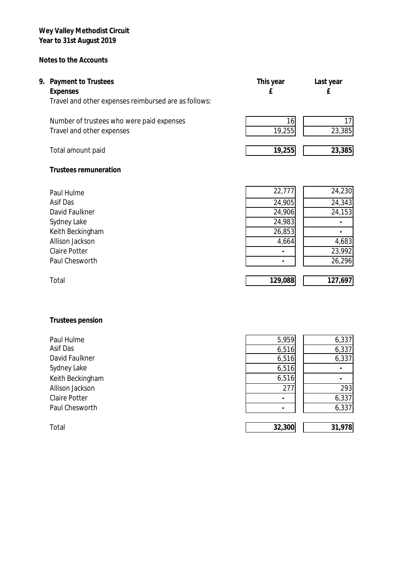# **Notes to the Accounts**

| 9. Payment to Trustees<br>Expenses<br>Travel and other expenses reimbursed are as follows: | This year | Last year |
|--------------------------------------------------------------------------------------------|-----------|-----------|
| Number of trustees who were paid expenses                                                  | 161       |           |
| Travel and other expenses                                                                  | 19,255    | 23,385    |

Total amount paid **19,255 23,385**

**Trustees remuneration**

| Paul Hulme           | 22,777 | 24,230 |
|----------------------|--------|--------|
| Asif Das             | 24,905 | 24,343 |
| David Faulkner       | 24,906 | 24,153 |
| Sydney Lake          | 24,983 |        |
| Keith Beckingham     | 26,853 |        |
| Allison Jackson      | 4,664  | 4,683  |
| <b>Claire Potter</b> |        | 23,992 |
| Paul Chesworth       |        | 26,296 |
|                      |        |        |
|                      |        |        |

| Paul Hulme           | 22,777  | 24,230  |
|----------------------|---------|---------|
| Asif Das             | 24,905  | 24,343  |
| David Faulkner       | 24,906  | 24,153  |
| Sydney Lake          | 24,983  |         |
| Keith Beckingham     | 26,853  |         |
| Allison Jackson      | 4,664   | 4,683   |
| <b>Claire Potter</b> |         | 23,992  |
| Paul Chesworth       |         | 26,296  |
|                      |         |         |
| Total                | 129,088 | 127,697 |
|                      |         |         |

# **Trustees pension**

| Paul Hulme           | 5,959  | 6,337  |
|----------------------|--------|--------|
| Asif Das             | 6,516  | 6,337  |
| David Faulkner       | 6,516  | 6,337  |
| Sydney Lake          | 6,516  |        |
| Keith Beckingham     | 6,516  |        |
| Allison Jackson      | 277    | 293    |
| <b>Claire Potter</b> |        | 6,337  |
| Paul Chesworth       |        | 6,337  |
|                      |        |        |
| Total                | 32,300 | 31,978 |
|                      |        |        |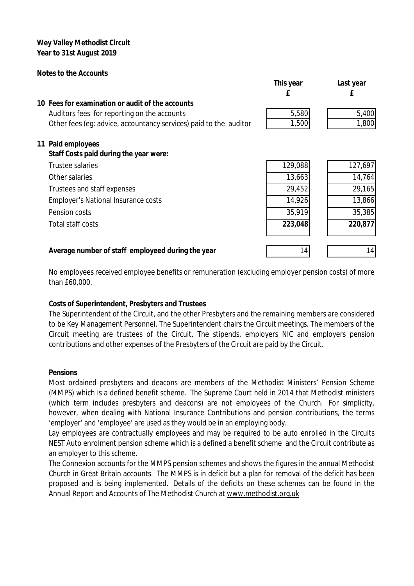## **Notes to the Accounts**

|                                                                   | This year | Last year |
|-------------------------------------------------------------------|-----------|-----------|
|                                                                   |           |           |
| 10 Fees for examination or audit of the accounts                  |           |           |
| Auditors fees for reporting on the accounts                       | 5,580     | 5,400     |
| Other fees (eq: advice, accountancy services) paid to the auditor | 1,500     | 1,800     |
| 11 Paid employees                                                 |           |           |
| Staff Costs paid during the year were:                            |           |           |
| <b>Trustee salaries</b>                                           | 129,088   | 127,697   |
| Other salaries                                                    | 13,663    | 14,764    |
| Trustees and staff expenses                                       | 29,452    | 29,165    |
| <b>Employer's National Insurance costs</b>                        | 14,926    | 13,866    |
| Pension costs                                                     | 35,919    | 35,385    |
| Total staff costs                                                 | 223,048   | 220,877   |
|                                                                   |           |           |
| Average number of staff employeed during the year                 | 14        | 14        |

No employees received employee benefits or remuneration (excluding employer pension costs) of more than £60,000.

# **Costs of Superintendent, Presbyters and Trustees**

The Superintendent of the Circuit, and the other Presbyters and the remaining members are considered to be Key Management Personnel. The Superintendent chairs the Circuit meetings. The members of the Circuit meeting are trustees of the Circuit. The stipends, employers NIC and employers pension contributions and other expenses of the Presbyters of the Circuit are paid by the Circuit.

## **Pensions**

Most ordained presbyters and deacons are members of the Methodist Ministers' Pension Scheme (MMPS) which is a defined benefit scheme. The Supreme Court held in 2014 that Methodist ministers (which term includes presbyters and deacons) are not employees of the Church. For simplicity, however, when dealing with National Insurance Contributions and pension contributions, the terms 'employer' and 'employee' are used as they would be in an employing body.

Lay employees are contractually employees and may be required to be auto enrolled in the Circuits NEST Auto enrolment pension scheme which is a defined a benefit scheme and the Circuit contribute as an employer to this scheme.

The Connexion accounts for the MMPS pension schemes and shows the figures in the annual Methodist Church in Great Britain accounts. The MMPS is in deficit but a plan for removal of the deficit has been proposed and is being implemented. Details of the deficits on these schemes can be found in the Annual Report and Accounts of The Methodist Church at [www.methodist.org.uk](http://www.methodist.org.uk)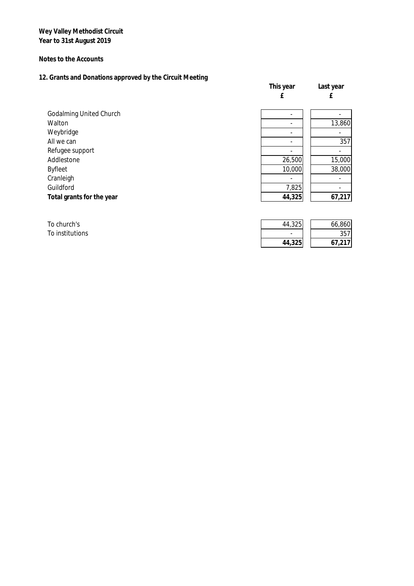**Notes to the Accounts**

# **12. Grants and Donations approved by the Circuit Meeting**

|                                | This year | Last year |
|--------------------------------|-----------|-----------|
|                                | £         | £         |
| <b>Godalming United Church</b> |           |           |
| Walton                         |           | 13,860    |
| Weybridge                      |           |           |
| All we can                     |           | 357       |
| Refugee support                |           |           |
| Addlestone                     | 26,500    | 15,000    |
| <b>Byfleet</b>                 | 10,000    | 38,000    |
| Cranleigh                      |           |           |
| Guildford                      | 7,825     |           |
| Total grants for the year      | 44,325    | 67,217    |
|                                |           |           |

| To church's     | 44,325                   | 66,860                 |
|-----------------|--------------------------|------------------------|
| To institutions | $\overline{\phantom{0}}$ | 357'                   |
|                 | 44,325                   | <b>LT 017</b><br>$-11$ |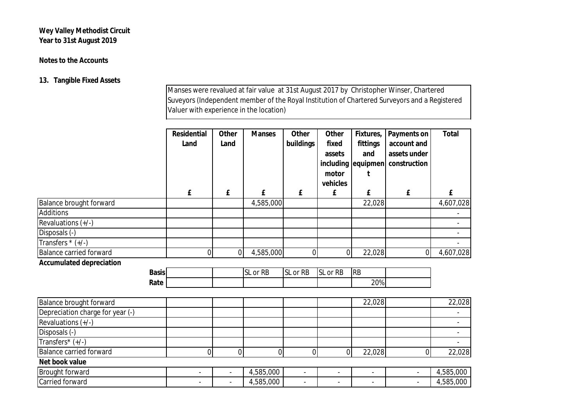# **Notes to the Accounts**

# **13. Tangible Fixed Assets**

Manses were revalued at fair value at 31st August 2017 by Christopher Winser, Chartered Suveyors (Independent member of the Royal Institution of Chartered Surveyors and a Registered Valuer with experience in the location)

|                                  |              | Residential    | Other                    | <b>Manses</b> | Other          | Other                    | Fixtures,                | Payments on              | Total          |
|----------------------------------|--------------|----------------|--------------------------|---------------|----------------|--------------------------|--------------------------|--------------------------|----------------|
|                                  |              | Land           | Land                     |               | buildings      | fixed                    | fittings                 | account and              |                |
|                                  |              |                |                          |               |                | assets                   | and                      | assets under             |                |
|                                  |              |                |                          |               |                | including                | equipmen                 | construction             |                |
|                                  |              |                |                          |               |                | motor                    |                          |                          |                |
|                                  |              |                |                          |               |                | vehicles                 |                          |                          |                |
|                                  |              | £              | £                        | £             | £              | £                        | £                        | £                        | £              |
| <b>Balance brought forward</b>   |              |                |                          | 4,585,000     |                |                          | 22,028                   |                          | 4,607,028      |
| <b>Additions</b>                 |              |                |                          |               |                |                          |                          |                          |                |
| Revaluations (+/-)               |              |                |                          |               |                |                          |                          |                          |                |
| Disposals (-)                    |              |                |                          |               |                |                          |                          |                          |                |
| Transfers $*(+/-)$               |              |                |                          |               |                |                          |                          |                          |                |
| <b>Balance carried forward</b>   |              | 0              | $\mathbf{0}$             | 4,585,000     | $\mathbf{0}$   | 0                        | 22,028                   | $\overline{0}$           | 4,607,028      |
| <b>Accumulated depreciation</b>  |              |                |                          |               |                |                          |                          |                          |                |
|                                  | <b>Basis</b> |                |                          | SL or RB      | SL or RB       | SL or RB                 | <b>RB</b>                |                          |                |
|                                  | Rate         |                |                          |               |                |                          | 20%                      |                          |                |
| <b>Balance brought forward</b>   |              |                |                          |               |                |                          | 22,028                   |                          | 22,028         |
| Depreciation charge for year (-) |              |                |                          |               |                |                          |                          |                          |                |
| Revaluations (+/-)               |              |                |                          |               |                |                          |                          |                          |                |
| Disposals (-)                    |              |                |                          |               |                |                          |                          |                          |                |
| Transfers* (+/-)                 |              |                |                          |               |                |                          |                          |                          | $\blacksquare$ |
| <b>Balance carried forward</b>   |              | 0              | $\mathbf 0$              | 0             | $\mathbf 0$    | 0                        | 22,028                   | 0                        | 22,028         |
| Net book value                   |              |                |                          |               |                |                          |                          |                          |                |
| <b>Brought forward</b>           |              | $\blacksquare$ |                          | 4,585,000     | $\overline{a}$ | $\overline{a}$           | $\overline{\phantom{a}}$ | $\overline{\phantom{a}}$ | 4,585,000      |
| Carried forward                  |              |                | $\overline{\phantom{a}}$ | 4,585,000     | $\blacksquare$ | $\overline{\phantom{0}}$ |                          | $\overline{\phantom{a}}$ | 4,585,000      |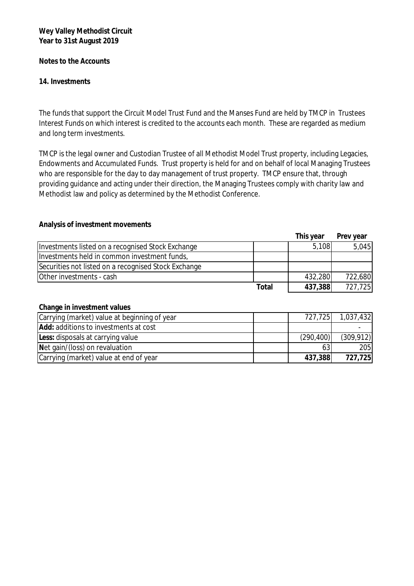**Notes to the Accounts**

**14. Investments**

The funds that support the Circuit Model Trust Fund and the Manses Fund are held by TMCP in Trustees Interest Funds on which interest is credited to the accounts each month. These are regarded as medium and long term investments.

TMCP is the legal owner and Custodian Trustee of all Methodist Model Trust property, including Legacies, Endowments and Accumulated Funds. Trust property is held for and on behalf of local Managing Trustees who are responsible for the day to day management of trust property. TMCP ensure that, through providing guidance and acting under their direction, the Managing Trustees comply with charity law and Methodist law and policy as determined by the Methodist Conference.

**Analysis of investment movements**

|                                                      |       | This year | Prev year |
|------------------------------------------------------|-------|-----------|-----------|
| Investments listed on a recognised Stock Exchange    |       | 5,108     | 5,045     |
| Investments held in common investment funds,         |       |           |           |
| Securities not listed on a recognised Stock Exchange |       |           |           |
| Other investments - cash                             |       | 432,280   | 722,680   |
|                                                      | Total | 437,388   | 727,725   |

## **Change in investment values**

| Carrying (market) value at beginning of year | 727,725    | 1,037,432  |
|----------------------------------------------|------------|------------|
| Add: additions to investments at cost        |            |            |
| Less: disposals at carrying value            | (290, 400) | (309, 912) |
| Net gain/(loss) on revaluation               | 63         | 205        |
| Carrying (market) value at end of year       | 437,388    | 727,725    |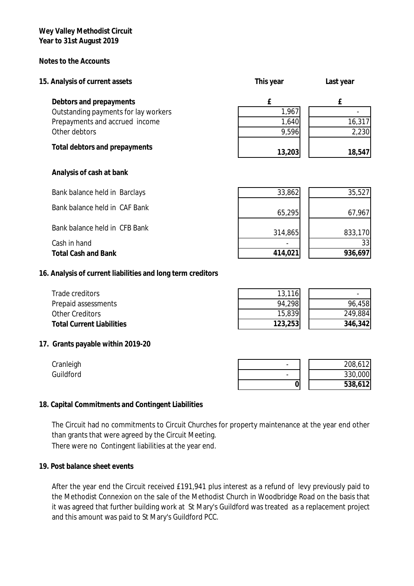**Notes to the Accounts**

| 15. Analysis of current assets       | This year | Last year |
|--------------------------------------|-----------|-----------|
| Debtors and prepayments              | f         | f         |
| Outstanding payments for lay workers | 1,967     |           |
| Prepayments and accrued income       | 1,640     | 16,317    |
| Other debtors                        | 9,596     | 2,230     |
| Total debtors and prepayments        | 13,203    | 18,547    |
| Analysis of cash at bank             |           |           |
| Bank balance held in Barclays        | 33,862    | 35,527    |

| Bank balance held in CAF Bank | 65,295  | 67.967  |
|-------------------------------|---------|---------|
| Bank balance held in CFB Bank | 314,865 | 833,170 |
| Cash in hand                  | ۰       | 33      |
| <b>Total Cash and Bank</b>    | 414,021 | 936,697 |

**16. Analysis of current liabilities and long term creditors** 

| Trade creditors                  | 13,116  |         |
|----------------------------------|---------|---------|
| Prepaid assessments              | 94,298  | 96,458  |
| <b>Other Creditors</b>           | 15,839  | 249,884 |
| <b>Total Current Liabilities</b> | 123,253 | 346,342 |

# **17. Grants payable within 2019-20**

| Cranleigh |  | 208,612 |
|-----------|--|---------|
| Guildford |  | 330,000 |
|           |  | 538,612 |

## **18. Capital Commitments and Contingent Liabilities**

There were no Contingent liabilities at the year end. The Circuit had no commitments to Circuit Churches for property maintenance at the year end other than grants that were agreed by the Circuit Meeting.

## **19. Post balance sheet events**

After the year end the Circuit received £191,941 plus interest as a refund of levy previously paid to the Methodist Connexion on the sale of the Methodist Church in Woodbridge Road on the basis that it was agreed that further building work at St Mary's Guildford was treated as a replacement project and this amount was paid to St Mary's Guildford PCC.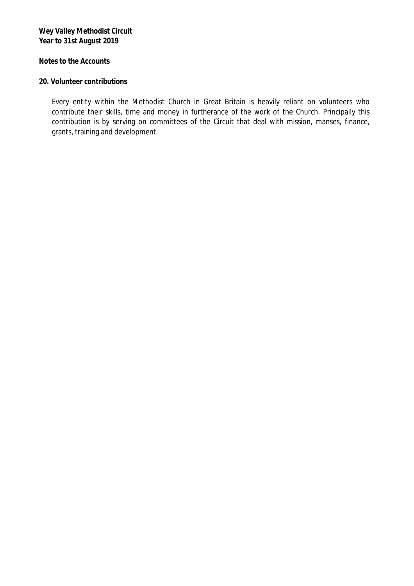**Notes to the Accounts**

## **20. Volunteer contributions**

Every entity within the Methodist Church in Great Britain is heavily reliant on volunteers who contribute their skills, time and money in furtherance of the work of the Church. Principally this contribution is by serving on committees of the Circuit that deal with mission, manses, finance, grants, training and development.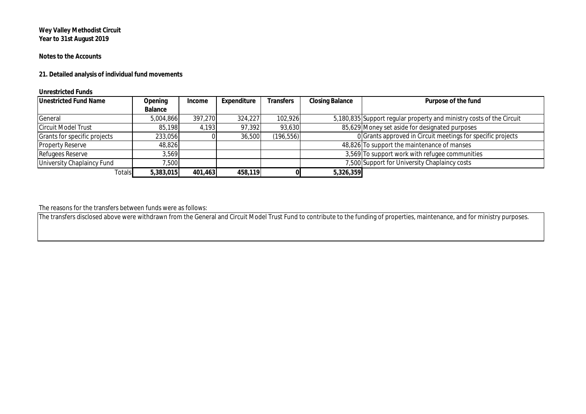### **Notes to the Accounts**

**21. Detailed analysis of individual fund movements**

### **Unrestricted Funds**

| <b>Unestricted Fund Name</b>      | Opening   | Income  | Expenditure | <b>Transfers</b> | <b>Closing Balance</b> | Purpose of the fund                                                  |
|-----------------------------------|-----------|---------|-------------|------------------|------------------------|----------------------------------------------------------------------|
|                                   | Balance   |         |             |                  |                        |                                                                      |
| General                           | 5,004,866 | 397,270 | 324,227     | 102,926          |                        | 5,180,835 Support regular property and ministry costs of the Circuit |
| <b>Circuit Model Trust</b>        | 85.198    | 4.193   | 97,392      | 93,630           |                        | 85,629 Money set aside for designated purposes                       |
| Grants for specific projects      | 233,056   |         | 36,500      | (196, 556)       |                        | 0 Grants approved in Circuit meetings for specific projects          |
| <b>Property Reserve</b>           | 48,826    |         |             |                  |                        | 48,826 To support the maintenance of manses                          |
| <b>Refugees Reserve</b>           | 3,569     |         |             |                  |                        | 3,569 To support work with refugee communities                       |
| <b>University Chaplaincy Fund</b> | 7,500     |         |             |                  |                        | 7,500 Support for University Chaplaincy costs                        |
| <b>Totals</b>                     | 5,383,015 | 401,463 | 458,119     |                  | 5,326,359              |                                                                      |

The reasons for the transfers between funds were as follows:

The transfers disclosed above were withdrawn from the General and Circuit Model Trust Fund to contribute to the funding of properties, maintenance, and for ministry purposes.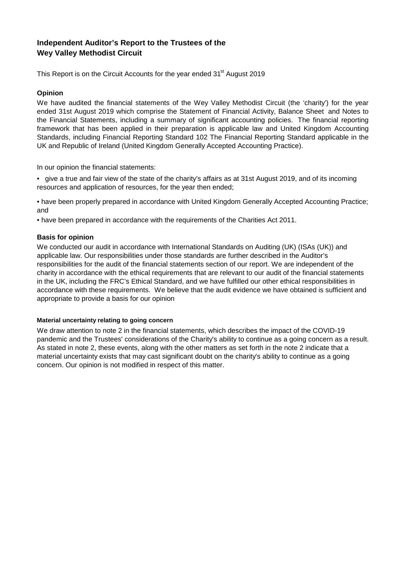# **Wey Valley Methodist Circuit Independent Auditor's Report to the Trustees of the**

This Report is on the Circuit Accounts for the year ended 31<sup>st</sup> August 2019

### **Opinion**

We have audited the financial statements of the Wey Valley Methodist Circuit (the 'charity') for the year ended 31st August 2019 which comprise the Statement of Financial Activity, Balance Sheet and Notes to the Financial Statements, including a summary of significant accounting policies. The financial reporting framework that has been applied in their preparation is applicable law and United Kingdom Accounting Standards, including Financial Reporting Standard 102 The Financial Reporting Standard applicable in the UK and Republic of Ireland (United Kingdom Generally Accepted Accounting Practice).

In our opinion the financial statements:

• give a true and fair view of the state of the charity's affairs as at 31st August 2019, and of its incoming resources and application of resources, for the year then ended;

• have been properly prepared in accordance with United Kingdom Generally Accepted Accounting Practice; and

• have been prepared in accordance with the requirements of the Charities Act 2011.

### **Basis for opinion**

We conducted our audit in accordance with International Standards on Auditing (UK) (ISAs (UK)) and applicable law. Our responsibilities under those standards are further described in the Auditor's responsibilities for the audit of the financial statements section of our report. We are independent of the charity in accordance with the ethical requirements that are relevant to our audit of the financial statements in the UK, including the FRC's Ethical Standard, and we have fulfilled our other ethical responsibilities in accordance with these requirements. We believe that the audit evidence we have obtained is sufficient and appropriate to provide a basis for our opinion

### **Material uncertainty relating to going concern**

We draw attention to note 2 in the financial statements, which describes the impact of the COVID-19 pandemic and the Trustees' considerations of the Charity's ability to continue as a going concern as a result. As stated in note 2, these events, along with the other matters as set forth in the note 2 indicate that a material uncertainty exists that may cast significant doubt on the charity's ability to continue as a going concern. Our opinion is not modified in respect of this matter.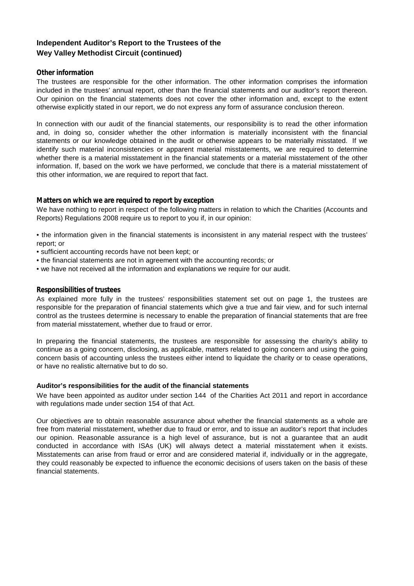## **Independent Auditor's Report to the Trustees of the Wey Valley Methodist Circuit (continued)**

### **Other information**

The trustees are responsible for the other information. The other information comprises the information included in the trustees' annual report, other than the financial statements and our auditor's report thereon. Our opinion on the financial statements does not cover the other information and, except to the extent otherwise explicitly stated in our report, we do not express any form of assurance conclusion thereon.

In connection with our audit of the financial statements, our responsibility is to read the other information and, in doing so, consider whether the other information is materially inconsistent with the financial statements or our knowledge obtained in the audit or otherwise appears to be materially misstated. If we identify such material inconsistencies or apparent material misstatements, we are required to determine whether there is a material misstatement in the financial statements or a material misstatement of the other information. If, based on the work we have performed, we conclude that there is a material misstatement of this other information, we are required to report that fact.

### **Matters on which we are required to report by exception**

We have nothing to report in respect of the following matters in relation to which the Charities (Accounts and Reports) Regulations 2008 require us to report to you if, in our opinion:

• the information given in the financial statements is inconsistent in any material respect with the trustees' report; or

- sufficient accounting records have not been kept; or
- the financial statements are not in agreement with the accounting records; or
- we have not received all the information and explanations we require for our audit.

### **Responsibilities of trustees**

As explained more fully in the trustees' responsibilities statement set out on page 1, the trustees are responsible for the preparation of financial statements which give a true and fair view, and for such internal control as the trustees determine is necessary to enable the preparation of financial statements that are free from material misstatement, whether due to fraud or error.

In preparing the financial statements, the trustees are responsible for assessing the charity's ability to continue as a going concern, disclosing, as applicable, matters related to going concern and using the going concern basis of accounting unless the trustees either intend to liquidate the charity or to cease operations, or have no realistic alternative but to do so.

### **Auditor's responsibilities for the audit of the financial statements**

We have been appointed as auditor under section 144 of the Charities Act 2011 and report in accordance with regulations made under section 154 of that Act.

Our objectives are to obtain reasonable assurance about whether the financial statements as a whole are free from material misstatement, whether due to fraud or error, and to issue an auditor's report that includes our opinion. Reasonable assurance is a high level of assurance, but is not a guarantee that an audit conducted in accordance with ISAs (UK) will always detect a material misstatement when it exists. Misstatements can arise from fraud or error and are considered material if, individually or in the aggregate, they could reasonably be expected to influence the economic decisions of users taken on the basis of these financial statements.